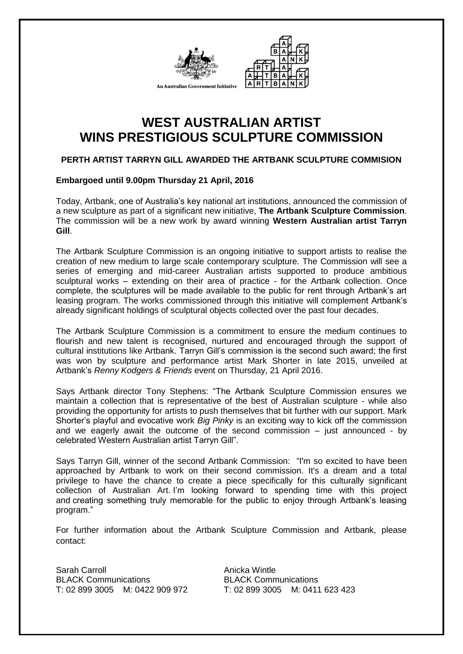



# **WEST AUSTRALIAN ARTIST WINS PRESTIGIOUS SCULPTURE COMMISSION**

# **PERTH ARTIST TARRYN GILL AWARDED THE ARTBANK SCULPTURE COMMISION**

## **Embargoed until 9.00pm Thursday 21 April, 2016**

Today, Artbank, one of Australia's key national art institutions, announced the commission of a new sculpture as part of a significant new initiative, **The Artbank Sculpture Commission**. The commission will be a new work by award winning **Western Australian artist Tarryn Gill**.

The Artbank Sculpture Commission is an ongoing initiative to support artists to realise the creation of new medium to large scale contemporary sculpture. The Commission will see a series of emerging and mid-career Australian artists supported to produce ambitious sculptural works – extending on their area of practice - for the Artbank collection. Once complete, the sculptures will be made available to the public for rent through Artbank's art leasing program. The works commissioned through this initiative will complement Artbank's already significant holdings of sculptural objects collected over the past four decades.

The Artbank Sculpture Commission is a commitment to ensure the medium continues to flourish and new talent is recognised, nurtured and encouraged through the support of cultural institutions like Artbank. Tarryn Gill's commission is the second such award; the first was won by sculpture and performance artist Mark Shorter in late 2015, unveiled at Artbank's *Renny Kodgers & Friends* event on Thursday, 21 April 2016.

Says Artbank director Tony Stephens: "The Artbank Sculpture Commission ensures we maintain a collection that is representative of the best of Australian sculpture - while also providing the opportunity for artists to push themselves that bit further with our support. Mark Shorter's playful and evocative work *Big Pinky* is an exciting way to kick off the commission and we eagerly await the outcome of the second commission – just announced - by celebrated Western Australian artist Tarryn Gill".

Says Tarryn Gill, winner of the second Artbank Commission: "I'm so excited to have been approached by Artbank to work on their second commission. It's a dream and a total privilege to have the chance to create a piece specifically for this culturally significant collection of Australian Art. I'm looking forward to spending time with this project and creating something truly memorable for the public to enjoy through Artbank's leasing program."

For further information about the Artbank Sculpture Commission and Artbank, please contact:

Sarah Carroll **Anicka Wintle** BLACK Communications BLACK Communications T: 02 899 3005 M: 0422 909 972 T: 02 899 3005 M: 0411 623 423